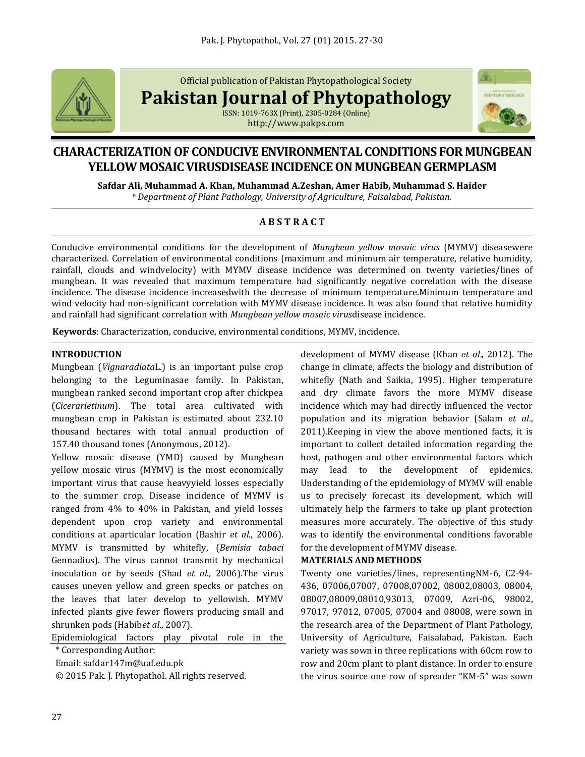

Official publication of Pakistan Phytopathological Society

**Pakistan Journal of Phytopathology**

ISSN: 1019-763X (Print), 2305-0284 (Online) http://www.pakps.com



# **CHARACTERIZATION OF CONDUCIVE ENVIRONMENTAL CONDITIONS FOR MUNGBEAN YELLOW MOSAIC VIRUSDISEASE INCIDENCE ON MUNGBEAN GERMPLASM**

**Safdar Ali, Muhammad A. Khan, Muhammad A.Zeshan, Amer Habib, Muhammad S. Haider**

*<sup>b</sup> Department of Plant Pathology, University of Agriculture, Faisalabad, Pakistan.*

## **A B S T R A C T**

Conducive environmental conditions for the development of *Mungbean yellow mosaic virus* (MYMV) diseasewere characterized. Correlation of environmental conditions (maximum and minimum air temperature, relative humidity, rainfall, clouds and windvelocity) with MYMV disease incidence was determined on twenty varieties/lines of mungbean. It was revealed that maximum temperature had significantly negative correlation with the disease incidence. The disease incidence increasedwith the decrease of minimum temperature.Minimum temperature and wind velocity had non-significant correlation with MYMV disease incidence. It was also found that relative humidity and rainfall had significant correlation with *Mungbean yellow mosaic virus*disease incidence.

**Keywords**: Characterization, conducive, environmental conditions, MYMV, incidence.

### **INTRODUCTION**

Mungbean (*Vignaradiata*L.) is an important pulse crop belonging to the Leguminasae family. In Pakistan, mungbean ranked second important crop after chickpea (*Cicerarietinum*). The total area cultivated with mungbean crop in Pakistan is estimated about 232.10 thousand hectares with total annual production of 157.40 thousand tones (Anonymous, 2012).

Yellow mosaic disease (YMD) caused by Mungbean yellow mosaic virus (MYMV) is the most economically important virus that cause heavyyield losses especially to the summer crop. Disease incidence of MYMV is ranged from 4% to 40% in Pakistan, and yield losses dependent upon crop variety and environmental conditions at aparticular location (Bashir *et al*., 2006). MYMV is transmitted by whitefly, (*Bemisia tabaci* Gennadius). The virus cannot transmit by mechanical inoculation or by seeds (Shad *et al.*, 2006).The virus causes uneven yellow and green specks or patches on the leaves that later develop to yellowish. MYMV infected plants give fewer flowers producing small and shrunken pods (Habib*et al*., 2007).

Epidemiological factors play pivotal role in the

Email: safdar147m@uaf.edu.pk

© 2015 Pak. J. Phytopathol. All rights reserved.

development of MYMV disease (Khan *et al*., 2012). The change in climate, affects the biology and distribution of whitefly (Nath and Saikia, 1995). Higher temperature and dry climate favors the more MYMV disease incidence which may had directly influenced the vector population and its migration behavior (Salam *et al*., 2011).Keeping in view the above mentioned facts, it is important to collect detailed information regarding the host, pathogen and other environmental factors which may lead to the development of epidemics. Understanding of the epidemiology of MYMV will enable us to precisely forecast its development, which will ultimately help the farmers to take up plant protection measures more accurately. The objective of this study was to identify the environmental conditions favorable for the development of MYMV disease.

### **MATERIALS AND METHODS**

Twenty one varieties/lines, representingNM-6, C2-94- 436, 07006,07007, 07008,07002, 08002,08003, 08004, 08007,08009,08010,93013, 07009, Azri-06, 98002, 97017, 97012, 07005, 07004 and 08008, were sown in the research area of the Department of Plant Pathology, University of Agriculture, Faisalabad, Pakistan. Each variety was sown in three replications with 60cm row to row and 20cm plant to plant distance. In order to ensure the virus source one row of spreader "KM-5" was sown

<sup>\*</sup> Corresponding Author: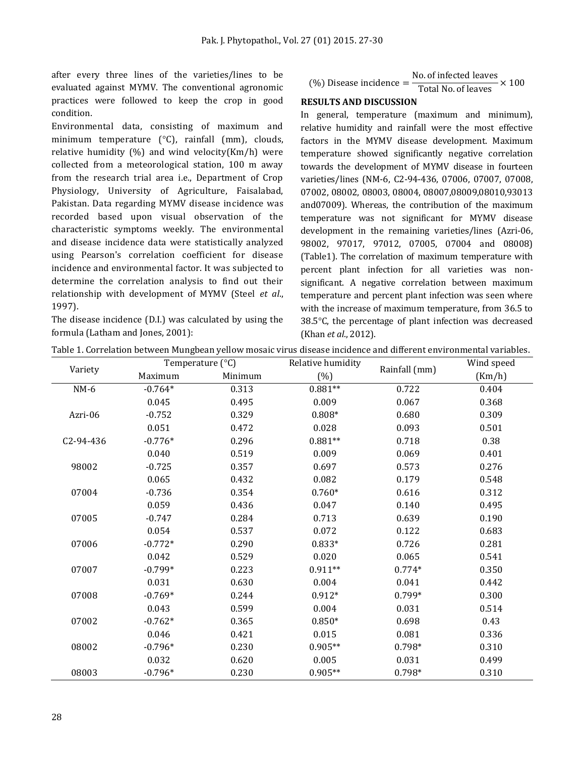after every three lines of the varieties/lines to be evaluated against MYMV. The conventional agronomic practices were followed to keep the crop in good condition.

Environmental data, consisting of maximum and minimum temperature (°C), rainfall (mm), clouds, relative humidity  $(\%)$  and wind velocity(Km/h) were collected from a meteorological station, 100 m away from the research trial area i.e., Department of Crop Physiology, University of Agriculture, Faisalabad, Pakistan. Data regarding MYMV disease incidence was recorded based upon visual observation of the characteristic symptoms weekly. The environmental and disease incidence data were statistically analyzed using Pearson's correlation coefficient for disease incidence and environmental factor. It was subjected to determine the correlation analysis to find out their relationship with development of MYMV (Steel *et al*., 1997).

The disease incidence (D.I.) was calculated by using the formula (Latham and Jones, 2001):

$$
\text{(%) Disease incidence} = \frac{\text{No. of infected leaves}}{\text{Total No. of leaves}} \times 100
$$

### **RESULTS AND DISCUSSION**

In general, temperature (maximum and minimum), relative humidity and rainfall were the most effective factors in the MYMV disease development. Maximum temperature showed significantly negative correlation towards the development of MYMV disease in fourteen varieties/lines (NM-6, C2-94-436, 07006, 07007, 07008, 07002, 08002, 08003, 08004, 08007,08009,08010,93013 and07009). Whereas, the contribution of the maximum temperature was not significant for MYMV disease development in the remaining varieties/lines (Azri-06, 98002, 97017, 97012, 07005, 07004 and 08008) (Table1). The correlation of maximum temperature with percent plant infection for all varieties was nonsignificant. A negative correlation between maximum temperature and percent plant infection was seen where with the increase of maximum temperature, from 36.5 to 38.5°C, the percentage of plant infection was decreased (Khan *et al*., 2012).

| Variety   | Temperature (°C) |         | Relative humidity | Wind speed    |        |
|-----------|------------------|---------|-------------------|---------------|--------|
|           | Maximum          | Minimum | $(\%)$            | Rainfall (mm) | (Km/h) |
| $NM-6$    | $-0.764*$        | 0.313   | $0.881**$         | 0.722         | 0.404  |
|           | 0.045            | 0.495   | 0.009             | 0.067         | 0.368  |
| Azri-06   | $-0.752$         | 0.329   | $0.808*$          | 0.680         | 0.309  |
|           | 0.051            | 0.472   | 0.028             | 0.093         | 0.501  |
| C2-94-436 | $-0.776*$        | 0.296   | $0.881**$         | 0.718         | 0.38   |
|           | 0.040            | 0.519   | 0.009             | 0.069         | 0.401  |
| 98002     | $-0.725$         | 0.357   | 0.697             | 0.573         | 0.276  |
|           | 0.065            | 0.432   | 0.082             | 0.179         | 0.548  |
| 07004     | $-0.736$         | 0.354   | $0.760*$          | 0.616         | 0.312  |
|           | 0.059            | 0.436   | 0.047             | 0.140         | 0.495  |
| 07005     | $-0.747$         | 0.284   | 0.713             | 0.639         | 0.190  |
|           | 0.054            | 0.537   | 0.072             | 0.122         | 0.683  |
| 07006     | $-0.772*$        | 0.290   | $0.833*$          | 0.726         | 0.281  |
|           | 0.042            | 0.529   | 0.020             | 0.065         | 0.541  |
| 07007     | $-0.799*$        | 0.223   | $0.911**$         | $0.774*$      | 0.350  |
|           | 0.031            | 0.630   | 0.004             | 0.041         | 0.442  |
| 07008     | $-0.769*$        | 0.244   | $0.912*$          | $0.799*$      | 0.300  |
|           | 0.043            | 0.599   | 0.004             | 0.031         | 0.514  |
| 07002     | $-0.762*$        | 0.365   | $0.850*$          | 0.698         | 0.43   |
|           | 0.046            | 0.421   | 0.015             | 0.081         | 0.336  |
| 08002     | $-0.796*$        | 0.230   | $0.905**$         | $0.798*$      | 0.310  |
|           | 0.032            | 0.620   | 0.005             | 0.031         | 0.499  |
| 08003     | $-0.796*$        | 0.230   | $0.905**$         | 0.798*        | 0.310  |

Table 1. Correlation between Mungbean yellow mosaic virus disease incidence and different environmental variables.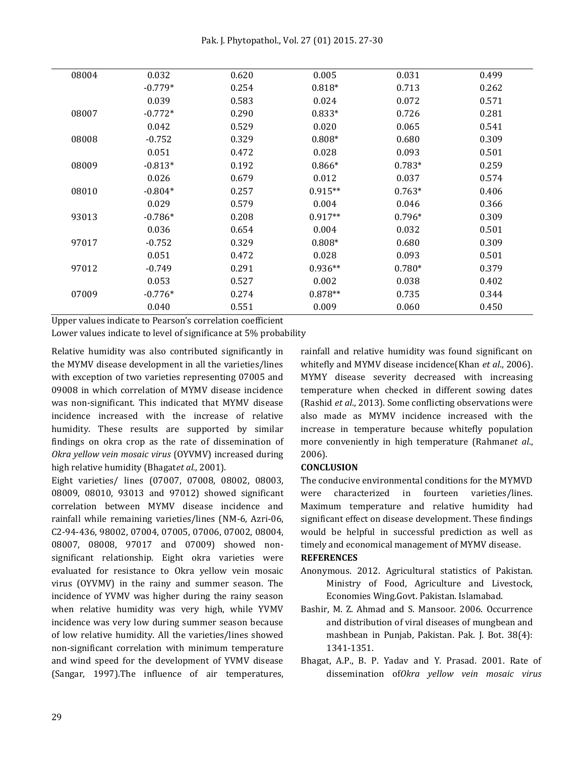Pak. J. Phytopathol., Vol. 27 (01) 2015. 27-30

| 08004 | 0.032     | 0.620 | 0.005     | 0.031    | 0.499 |
|-------|-----------|-------|-----------|----------|-------|
|       | $-0.779*$ | 0.254 | $0.818*$  | 0.713    | 0.262 |
|       | 0.039     | 0.583 | 0.024     | 0.072    | 0.571 |
| 08007 | $-0.772*$ | 0.290 | $0.833*$  | 0.726    | 0.281 |
|       | 0.042     | 0.529 | 0.020     | 0.065    | 0.541 |
| 08008 | $-0.752$  | 0.329 | $0.808*$  | 0.680    | 0.309 |
|       | 0.051     | 0.472 | 0.028     | 0.093    | 0.501 |
| 08009 | $-0.813*$ | 0.192 | $0.866*$  | $0.783*$ | 0.259 |
|       | 0.026     | 0.679 | 0.012     | 0.037    | 0.574 |
| 08010 | $-0.804*$ | 0.257 | $0.915**$ | $0.763*$ | 0.406 |
|       | 0.029     | 0.579 | 0.004     | 0.046    | 0.366 |
| 93013 | $-0.786*$ | 0.208 | $0.917**$ | $0.796*$ | 0.309 |
|       | 0.036     | 0.654 | 0.004     | 0.032    | 0.501 |
| 97017 | $-0.752$  | 0.329 | $0.808*$  | 0.680    | 0.309 |
|       | 0.051     | 0.472 | 0.028     | 0.093    | 0.501 |
| 97012 | $-0.749$  | 0.291 | $0.936**$ | $0.780*$ | 0.379 |
|       | 0.053     | 0.527 | 0.002     | 0.038    | 0.402 |
| 07009 | $-0.776*$ | 0.274 | $0.878**$ | 0.735    | 0.344 |
|       | 0.040     | 0.551 | 0.009     | 0.060    | 0.450 |

Upper values indicate to Pearson's correlation coefficient

Lower values indicate to level of significance at 5% probability

Relative humidity was also contributed significantly in the MYMV disease development in all the varieties/lines with exception of two varieties representing 07005 and 09008 in which correlation of MYMV disease incidence was non-significant. This indicated that MYMV disease incidence increased with the increase of relative humidity. These results are supported by similar findings on okra crop as the rate of dissemination of *Okra yellow vein mosaic virus* (OYVMV) increased during high relative humidity (Bhagat*et al.,* 2001).

Eight varieties/ lines (07007, 07008, 08002, 08003, 08009, 08010, 93013 and 97012) showed significant correlation between MYMV disease incidence and rainfall while remaining varieties/lines (NM-6, Azri-06, C2-94-436, 98002, 07004, 07005, 07006, 07002, 08004, 08007, 08008, 97017 and 07009) showed nonsignificant relationship. Eight okra varieties were evaluated for resistance to Okra yellow vein mosaic virus (OYVMV) in the rainy and summer season. The incidence of YVMV was higher during the rainy season when relative humidity was very high, while YVMV incidence was very low during summer season because of low relative humidity. All the varieties/lines showed non-significant correlation with minimum temperature and wind speed for the development of YVMV disease (Sangar, 1997).The influence of air temperatures,

rainfall and relative humidity was found significant on whitefly and MYMV disease incidence(Khan *et al*., 2006). MYMY disease severity decreased with increasing temperature when checked in different sowing dates (Rashid *et al*., 2013). Some conflicting observations were also made as MYMV incidence increased with the increase in temperature because whitefly population more conveniently in high temperature (Rahman*et al*., 2006).

### **CONCLUSION**

The conducive environmental conditions for the MYMVD were characterized in fourteen varieties/lines. Maximum temperature and relative humidity had significant effect on disease development. These findings would be helpful in successful prediction as well as timely and economical management of MYMV disease.

#### **REFERENCES**

- Anonymous. 2012. Agricultural statistics of Pakistan. Ministry of Food, Agriculture and Livestock, Economies Wing.Govt. Pakistan. Islamabad.
- Bashir, M. Z. Ahmad and S. Mansoor. 2006. Occurrence and distribution of viral diseases of mungbean and mashbean in Punjab, Pakistan. Pak. J. Bot. 38(4): 1341-1351.
- Bhagat, A.P., B. P. Yadav and Y. Prasad. 2001. Rate of dissemination of*Okra yellow vein mosaic virus*